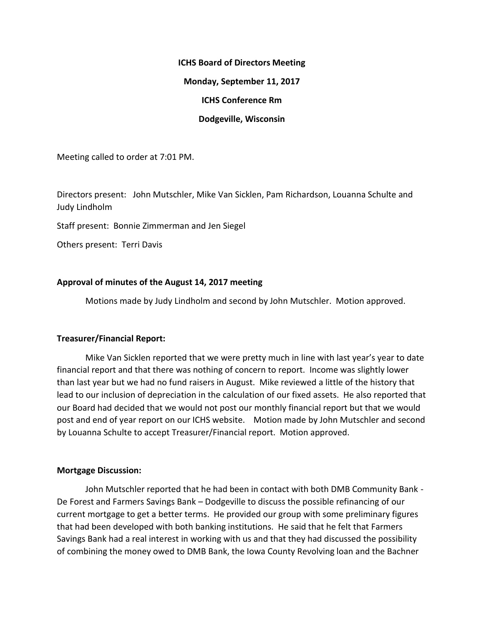# **ICHS Board of Directors Meeting Monday, September 11, 2017 ICHS Conference Rm Dodgeville, Wisconsin**

Meeting called to order at 7:01 PM.

Directors present: John Mutschler, Mike Van Sicklen, Pam Richardson, Louanna Schulte and Judy Lindholm

Staff present: Bonnie Zimmerman and Jen Siegel

Others present: Terri Davis

## **Approval of minutes of the August 14, 2017 meeting**

Motions made by Judy Lindholm and second by John Mutschler. Motion approved.

## **Treasurer/Financial Report:**

Mike Van Sicklen reported that we were pretty much in line with last year's year to date financial report and that there was nothing of concern to report. Income was slightly lower than last year but we had no fund raisers in August. Mike reviewed a little of the history that lead to our inclusion of depreciation in the calculation of our fixed assets. He also reported that our Board had decided that we would not post our monthly financial report but that we would post and end of year report on our ICHS website. Motion made by John Mutschler and second by Louanna Schulte to accept Treasurer/Financial report. Motion approved.

## **Mortgage Discussion:**

John Mutschler reported that he had been in contact with both DMB Community Bank - De Forest and Farmers Savings Bank – Dodgeville to discuss the possible refinancing of our current mortgage to get a better terms. He provided our group with some preliminary figures that had been developed with both banking institutions. He said that he felt that Farmers Savings Bank had a real interest in working with us and that they had discussed the possibility of combining the money owed to DMB Bank, the Iowa County Revolving loan and the Bachner